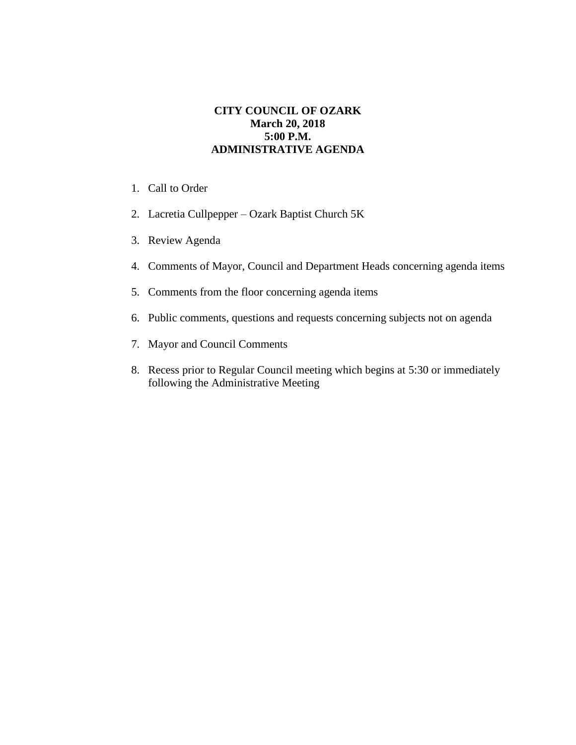## **CITY COUNCIL OF OZARK March 20, 2018 5:00 P.M. ADMINISTRATIVE AGENDA**

- 1. Call to Order
- 2. Lacretia Cullpepper Ozark Baptist Church 5K
- 3. Review Agenda
- 4. Comments of Mayor, Council and Department Heads concerning agenda items
- 5. Comments from the floor concerning agenda items
- 6. Public comments, questions and requests concerning subjects not on agenda
- 7. Mayor and Council Comments
- 8. Recess prior to Regular Council meeting which begins at 5:30 or immediately following the Administrative Meeting